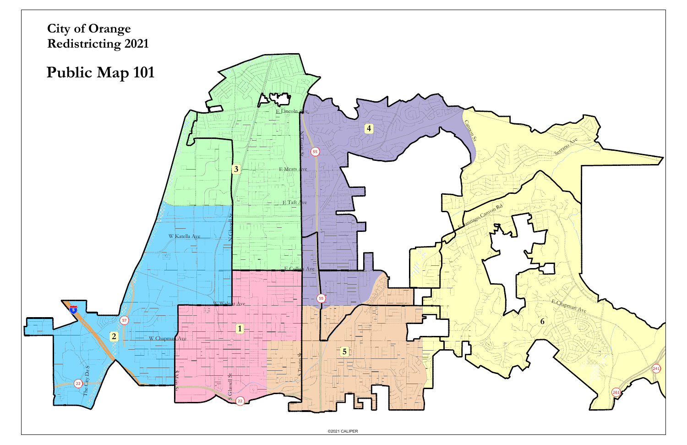